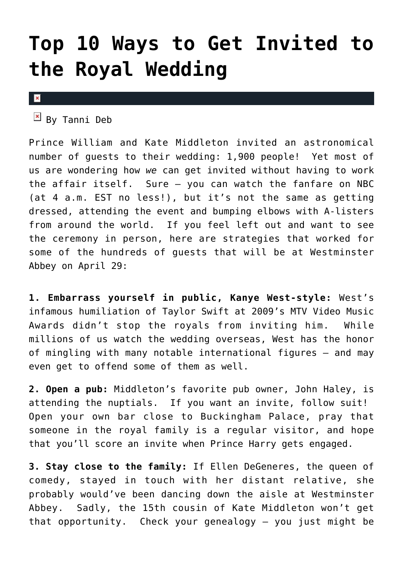### **[Top 10 Ways to Get Invited to](https://cupidspulse.com/12862/top-10-ways-get-invited-royal-wedding/) [the Royal Wedding](https://cupidspulse.com/12862/top-10-ways-get-invited-royal-wedding/)**

#### $\vert x \vert$

 $By$  Tanni Deb

Prince William and Kate Middleton invited an astronomical number of guests to their wedding: 1,900 people! Yet most of us are wondering how *we* can get invited without having to work the affair itself. Sure – you can watch the fanfare on NBC (at 4 a.m. EST no less!), but it's not the same as getting dressed, attending the event and bumping elbows with A-listers from around the world. If you feel left out and want to see the ceremony in person, here are strategies that worked for some of the hundreds of guests that will be at Westminster Abbey on April 29:

**1. Embarrass yourself in public, Kanye West-style:** West's infamous humiliation of Taylor Swift at 2009's MTV Video Music Awards didn't stop the royals from inviting him. While millions of us watch the wedding overseas, West has the honor of mingling with many notable international figures – and may even get to offend some of them as well.

**2. Open a pub:** Middleton's favorite pub owner, John Haley, is attending the nuptials. If you want an invite, follow suit! Open your own bar close to Buckingham Palace, pray that someone in the royal family is a regular visitor, and hope that you'll score an invite when Prince Harry gets engaged.

**3. Stay close to the family:** If Ellen DeGeneres, the queen of comedy, stayed in touch with her distant relative, she probably would've been dancing down the aisle at Westminster Abbey. Sadly, the 15th cousin of Kate Middleton won't get that opportunity. Check your genealogy – you just might be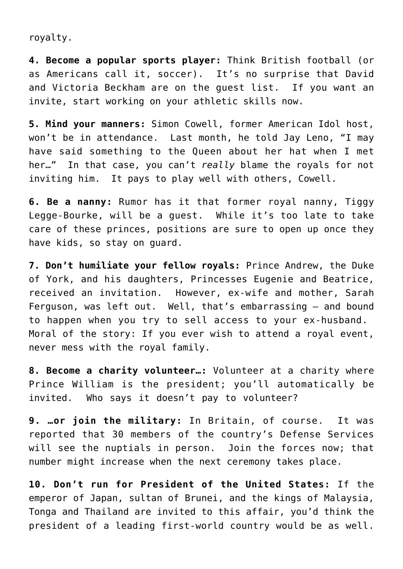royalty.

**4. Become a popular sports player:** Think British football (or as Americans call it, soccer). It's no surprise that David and Victoria Beckham are on the guest list. If you want an invite, start working on your athletic skills now.

**5. Mind your manners:** Simon Cowell, former American Idol host, won't be in attendance. Last month, he told Jay Leno, "I may have said something to the Queen about her hat when I met her…" In that case, you can't *really* blame the royals for not inviting him. It pays to play well with others, Cowell.

**6. Be a nanny:** Rumor has it that former royal nanny, Tiggy Legge-Bourke, will be a guest. While it's too late to take care of these princes, positions are sure to open up once they have kids, so stay on guard.

**7. Don't humiliate your fellow royals:** Prince Andrew, the Duke of York, and his daughters, Princesses Eugenie and Beatrice, received an invitation. However, ex-wife and mother, Sarah Ferguson, was left out. Well, that's embarrassing – and bound to happen when you try to sell access to your ex-husband. Moral of the story: If you ever wish to attend a royal event, never mess with the royal family.

**8. Become a charity volunteer…:** Volunteer at a charity where Prince William is the president; you'll automatically be invited. Who says it doesn't pay to volunteer?

**9. …or join the military:** In Britain, of course. It was reported that 30 members of the country's Defense Services will see the nuptials in person. Join the forces now; that number might increase when the next ceremony takes place.

**10. Don't run for President of the United States:** If the emperor of Japan, sultan of Brunei, and the kings of Malaysia, Tonga and Thailand are invited to this affair, you'd think the president of a leading first-world country would be as well.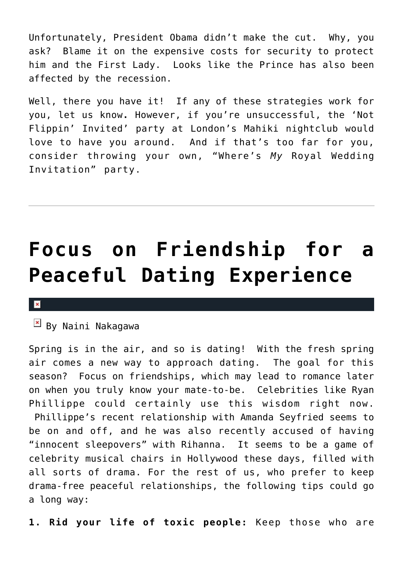Unfortunately, President Obama didn't make the cut. Why, you ask? Blame it on the expensive costs for security to protect him and the First Lady. Looks like the Prince has also been affected by the recession.

Well, there you have it! If any of these strategies work for you, let us know**.** However, if you're unsuccessful, the 'Not Flippin' Invited' party at London's Mahiki nightclub would love to have you around. And if that's too far for you, consider throwing your own, "Where's *My* Royal Wedding Invitation" party.

### **[Focus on Friendship for a](https://cupidspulse.com/13351/focus-on-friendship-for-a-peaceful-dating-experience/) [Peaceful Dating Experience](https://cupidspulse.com/13351/focus-on-friendship-for-a-peaceful-dating-experience/)**

 $\mathbb{F}$  By Naini Nakagawa

Spring is in the air, and so is dating! With the fresh spring air comes a new way to approach dating. The goal for this season? Focus on friendships, which may lead to romance later on when you truly know your mate-to-be. Celebrities like Ryan Phillippe could certainly use this wisdom right now. Phillippe's recent relationship with Amanda Seyfried seems to be on and off, and he was also recently accused of having "innocent sleepovers" with Rihanna. It seems to be a game of celebrity musical chairs in Hollywood these days, filled with all sorts of drama. For the rest of us, who prefer to keep drama-free peaceful relationships, the following tips could go a long way:

**1. Rid your life of toxic people:** Keep those who are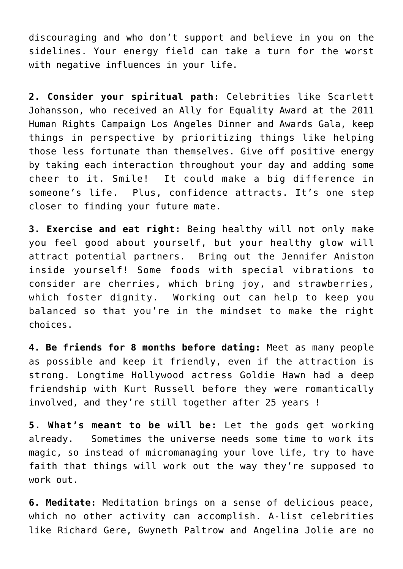discouraging and who don't support and believe in you on the sidelines. Your energy field can take a turn for the worst with negative influences in your life.

**2. Consider your spiritual path:** Celebrities like Scarlett Johansson, who received an Ally for Equality Award at the 2011 Human Rights Campaign Los Angeles Dinner and Awards Gala, keep things in perspective by prioritizing things like helping those less fortunate than themselves. Give off positive energy by taking each interaction throughout your day and adding some cheer to it. Smile! It could make a big difference in someone's life. Plus, confidence attracts. It's one step closer to finding your future mate.

**3. Exercise and eat right:** Being healthy will not only make you feel good about yourself, but your healthy glow will attract potential partners. Bring out the Jennifer Aniston inside yourself! Some foods with special vibrations to consider are cherries, which bring joy, and strawberries, which foster dignity. Working out can help to keep you balanced so that you're in the mindset to make the right choices.

**4. Be friends for 8 months before dating:** Meet as many people as possible and keep it friendly, even if the attraction is strong. Longtime Hollywood actress Goldie Hawn had a deep friendship with Kurt Russell before they were romantically involved, and they're still together after 25 years !

**5. What's meant to be will be:** Let the gods get working already. Sometimes the universe needs some time to work its magic, so instead of micromanaging your love life, try to have faith that things will work out the way they're supposed to work out.

**6. Meditate:** Meditation brings on a sense of delicious peace, which no other activity can accomplish. A-list celebrities like Richard Gere, Gwyneth Paltrow and Angelina Jolie are no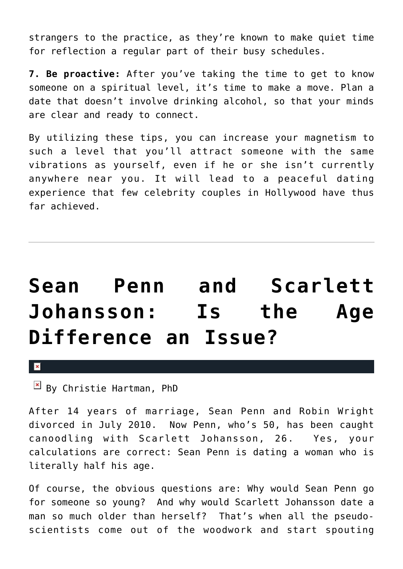strangers to the practice, as they're known to make quiet time for reflection a regular part of their busy schedules.

**7. Be proactive:** After you've taking the time to get to know someone on a spiritual level, it's time to make a move. Plan a date that doesn't involve drinking alcohol, so that your minds are clear and ready to connect.

By utilizing these tips, you can increase your magnetism to such a level that you'll attract someone with the same vibrations as yourself, even if he or she isn't currently anywhere near you. It will lead to a peaceful dating experience that few celebrity couples in Hollywood have thus far achieved.

# **[Sean Penn and Scarlett](https://cupidspulse.com/13147/sean-penn-and-scarlett-johansson-is-the-age-difference-an-issue/) [Johansson: Is the Age](https://cupidspulse.com/13147/sean-penn-and-scarlett-johansson-is-the-age-difference-an-issue/) [Difference an Issue?](https://cupidspulse.com/13147/sean-penn-and-scarlett-johansson-is-the-age-difference-an-issue/)**

 $\pmb{\times}$ 

 $\boxed{\times}$  By Christie Hartman, PhD

After 14 years of marriage, Sean Penn and Robin Wright divorced in July 2010. Now Penn, who's 50, has been caught canoodling with Scarlett Johansson, 26. Yes, your calculations are correct: Sean Penn is dating a woman who is literally half his age.

Of course, the obvious questions are: Why would Sean Penn go for someone so young? And why would Scarlett Johansson date a man so much older than herself? That's when all the pseudoscientists come out of the woodwork and start spouting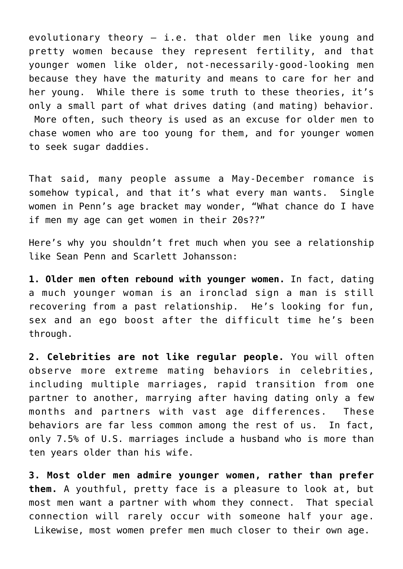evolutionary theory — i.e. that older men like young and pretty women because they represent fertility, and that younger women like older, not-necessarily-good-looking men because they have the maturity and means to care for her and her young. While there is some truth to these theories, it's only a small part of what drives dating (and mating) behavior. More often, such theory is used as an excuse for older men to chase women who are too young for them, and for younger women to seek sugar daddies.

That said, many people assume a May-December romance is somehow typical, and that it's what every man wants. Single women in Penn's age bracket may wonder, "What chance do I have if men my age can get women in their 20s??"

Here's why you shouldn't fret much when you see a relationship like Sean Penn and Scarlett Johansson:

**1. Older men often rebound with younger women.** In fact, dating a much younger woman is an ironclad sign a man is still recovering from a past relationship. He's looking for fun, sex and an ego boost after the difficult time he's been through.

**2. Celebrities are not like regular people.** You will often observe more extreme mating behaviors in celebrities, including multiple marriages, rapid transition from one partner to another, marrying after having dating only a few months and partners with vast age differences. These behaviors are far less common among the rest of us. In fact, only 7.5% of U.S. marriages include a husband who is more than ten years older than his wife.

**3. Most older men admire younger women, rather than prefer them.** A youthful, pretty face is a pleasure to look at, but most men want a partner with whom they connect. That special connection will rarely occur with someone half your age. Likewise, most women prefer men much closer to their own age.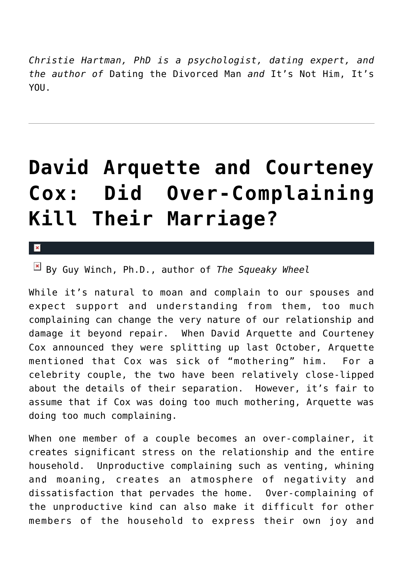*Christie Hartman, PhD is a psychologist, dating expert, and the author of* Dating the Divorced Man *and* It's Not Him, It's **YOU** 

## **[David Arquette and Courteney](https://cupidspulse.com/13079/david-arquette-and-courteney-cox-did-over-complaining-kill-their-marriage/) [Cox: Did Over-Complaining](https://cupidspulse.com/13079/david-arquette-and-courteney-cox-did-over-complaining-kill-their-marriage/) [Kill Their Marriage?](https://cupidspulse.com/13079/david-arquette-and-courteney-cox-did-over-complaining-kill-their-marriage/)**

×

By Guy Winch, Ph.D., author of *The Squeaky Wheel*

While it's natural to moan and complain to our spouses and expect support and understanding from them, too much complaining can change the very nature of our relationship and damage it beyond repair. When David Arquette and Courteney Cox announced they were splitting up last October, Arquette mentioned that Cox was sick of "mothering" him. For a celebrity couple, the two have been relatively close-lipped about the details of their separation. However, it's fair to assume that if Cox was doing too much mothering, Arquette was doing too much complaining.

When one member of a couple becomes an over-complainer, it creates significant stress on the relationship and the entire household. Unproductive complaining such as venting, whining and moaning, creates an atmosphere of negativity and dissatisfaction that pervades the home. Over-complaining of the unproductive kind can also make it difficult for other members of the household to express their own joy and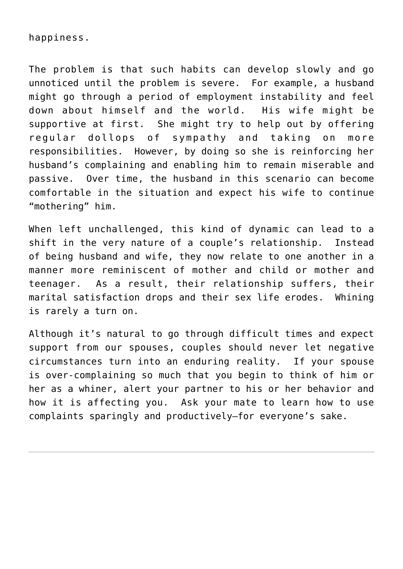#### happiness.

The problem is that such habits can develop slowly and go unnoticed until the problem is severe. For example, a husband might go through a period of employment instability and feel down about himself and the world. His wife might be supportive at first. She might try to help out by offering regular dollops of sympathy and taking on more responsibilities. However, by doing so she is reinforcing her husband's complaining and enabling him to remain miserable and passive. Over time, the husband in this scenario can become comfortable in the situation and expect his wife to continue "mothering" him.

When left unchallenged, this kind of dynamic can lead to a shift in the very nature of a couple's relationship. Instead of being husband and wife, they now relate to one another in a manner more reminiscent of mother and child or mother and teenager. As a result, their relationship suffers, their marital satisfaction drops and their sex life erodes. Whining is rarely a turn on.

Although it's natural to go through difficult times and expect support from our spouses, couples should never let negative circumstances turn into an enduring reality. If your spouse is over-complaining so much that you begin to think of him or her as a whiner, alert your partner to his or her behavior and how it is affecting you. Ask your mate to learn how to use complaints sparingly and productively–for everyone's sake.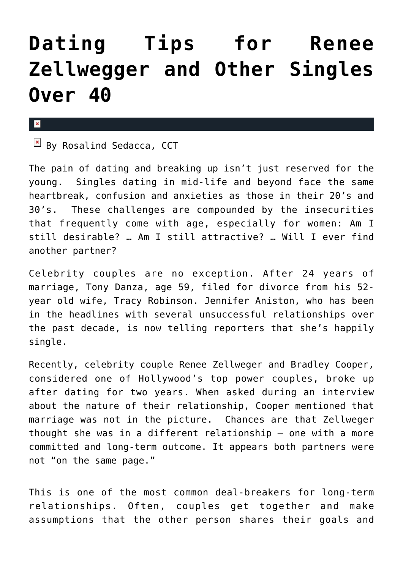### **[Dating Tips for Renee](https://cupidspulse.com/12712/dating-tips-for-renee-zellwegger-and-other-singles-over-40/) [Zellwegger and Other Singles](https://cupidspulse.com/12712/dating-tips-for-renee-zellwegger-and-other-singles-over-40/) [Over 40](https://cupidspulse.com/12712/dating-tips-for-renee-zellwegger-and-other-singles-over-40/)**

#### $\pmb{\times}$

 $\overline{B}$  By Rosalind Sedacca, CCT

The pain of dating and breaking up isn't just reserved for the young. Singles dating in mid-life and beyond face the same heartbreak, confusion and anxieties as those in their 20's and 30's. These challenges are compounded by the insecurities that frequently come with age, especially for women: Am I still desirable? … Am I still attractive? … Will I ever find another partner?

Celebrity couples are no exception. After 24 years of marriage, Tony Danza, age 59, filed for divorce from his 52 year old wife, Tracy Robinson. Jennifer Aniston, who has been in the headlines with several unsuccessful relationships over the past decade, is now telling reporters that she's happily single.

Recently, celebrity couple Renee Zellweger and Bradley Cooper, considered one of Hollywood's top power couples, broke up after dating for two years. When asked during an interview about the nature of their relationship, Cooper mentioned that marriage was not in the picture. Chances are that Zellweger thought she was in a different relationship – one with a more committed and long-term outcome. It appears both partners were not "on the same page."

This is one of the most common deal-breakers for long-term relationships. Often, couples get together and make assumptions that the other person shares their goals and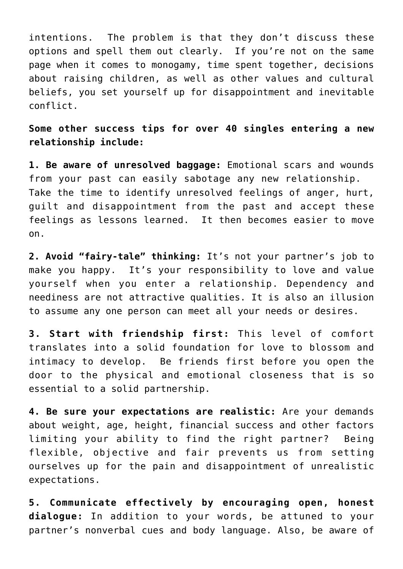intentions. The problem is that they don't discuss these options and spell them out clearly. If you're not on the same page when it comes to monogamy, time spent together, decisions about raising children, as well as other values and cultural beliefs, you set yourself up for disappointment and inevitable conflict.

**Some other success tips for over 40 singles entering a new relationship include:**

**1. Be aware of unresolved baggage:** Emotional scars and wounds from your past can easily sabotage any new relationship. Take the time to identify unresolved feelings of anger, hurt, guilt and disappointment from the past and accept these feelings as lessons learned. It then becomes easier to move on.

**2. Avoid "fairy-tale" thinking:** It's not your partner's job to make you happy. It's your responsibility to love and value yourself when you enter a relationship. Dependency and neediness are not attractive qualities. It is also an illusion to assume any one person can meet all your needs or desires.

**3. Start with friendship first:** This level of comfort translates into a solid foundation for love to blossom and intimacy to develop. Be friends first before you open the door to the physical and emotional closeness that is so essential to a solid partnership.

**4. Be sure your expectations are realistic:** Are your demands about weight, age, height, financial success and other factors limiting your ability to find the right partner? Being flexible, objective and fair prevents us from setting ourselves up for the pain and disappointment of unrealistic expectations.

**5. Communicate effectively by encouraging open, honest dialogue:** In addition to your words, be attuned to your partner's nonverbal cues and body language. Also, be aware of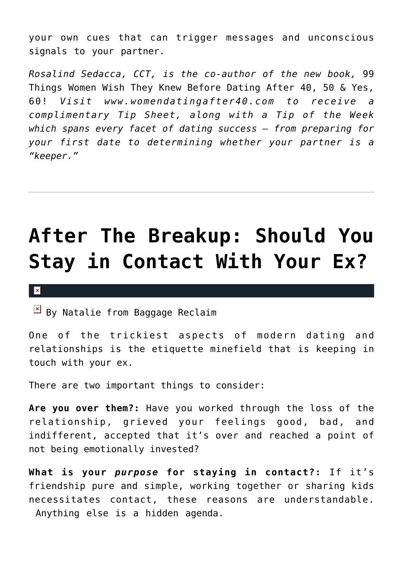your own cues that can trigger messages and unconscious signals to your partner.

*Rosalind Sedacca, CCT, is the co-author of the new book,* 99 Things Women Wish They Knew Before Dating After 40, 50 & Yes, 60! *Visit www.womendatingafter40.com to receive a complimentary Tip Sheet, along with a Tip of the Week which spans every facet of dating success – from preparing for your first date to determining whether your partner is a "keeper."*

# **[After The Breakup: Should You](https://cupidspulse.com/12548/after-the-breakup-should-you-stay-in-contact-with-your-ex/) [Stay in Contact With Your Ex?](https://cupidspulse.com/12548/after-the-breakup-should-you-stay-in-contact-with-your-ex/)**

#### $\vert \mathbf{x} \vert$

 $\boxed{\times}$  By Natalie from Baggage Reclaim

One of the trickiest aspects of modern dating and relationships is the etiquette minefield that is keeping in touch with your ex.

There are two important things to consider:

**Are you over them?:** Have you worked through the loss of the relationship, grieved your feelings good, bad, and indifferent, accepted that it's over and reached a point of not being emotionally invested?

**What is your** *purpose* **for staying in contact?:** If it's friendship pure and simple, working together or sharing kids necessitates contact, these reasons are understandable. Anything else is a hidden agenda.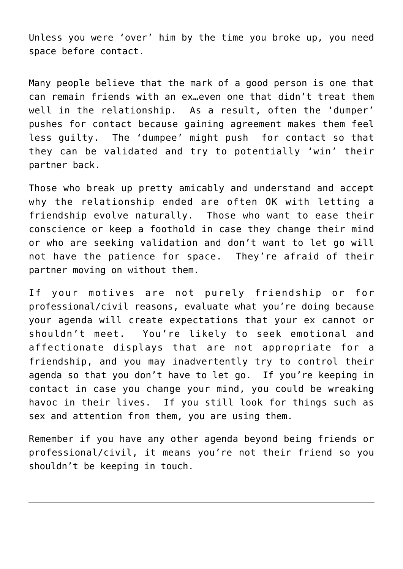Unless you were 'over' him by the time you broke up, you need space before contact.

Many people believe that the mark of a good person is one that can remain friends with an ex…even one that didn't treat them well in the relationship. As a result, often the 'dumper' pushes for contact because gaining agreement makes them feel less guilty. The 'dumpee' might push for contact so that they can be validated and try to potentially 'win' their partner back.

Those who break up pretty amicably and understand and accept why the relationship ended are often OK with letting a friendship evolve naturally. Those who want to ease their conscience or keep a foothold in case they change their mind or who are seeking validation and don't want to let go will not have the patience for space. They're afraid of their partner moving on without them.

If your motives are not purely friendship or for professional/civil reasons, evaluate what you're doing because your agenda will create expectations that your ex cannot or shouldn't meet. You're likely to seek emotional and affectionate displays that are not appropriate for a friendship, and you may inadvertently try to control their agenda so that you don't have to let go. If you're keeping in contact in case you change your mind, you could be wreaking havoc in their lives. If you still look for things such as sex and attention from them, you are using them.

Remember if you have any other agenda beyond being friends or professional/civil, it means you're not their friend so you shouldn't be keeping in touch.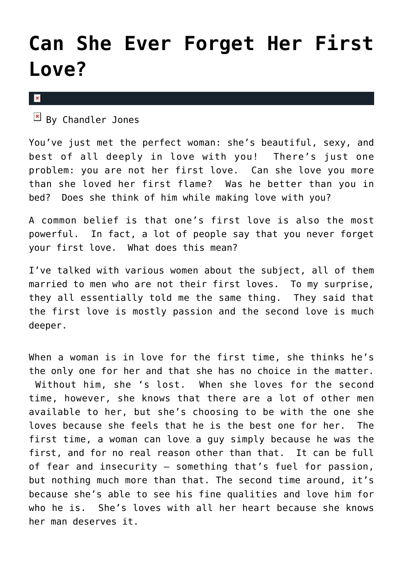### **[Can She Ever Forget Her First](https://cupidspulse.com/12371/can-she-ever-forget-her-first-love/) [Love?](https://cupidspulse.com/12371/can-she-ever-forget-her-first-love/)**

 $\pmb{\times}$ 

 $\mathbb{F}$  By Chandler Jones

You've just met the perfect woman: she's beautiful, sexy, and best of all deeply in love with you! There's just one problem: you are not her first love. Can she love you more than she loved her first flame? Was he better than you in bed? Does she think of him while making love with you?

A common belief is that one's first love is also the most powerful. In fact, a lot of people say that you never forget your first love. What does this mean?

I've talked with various women about the subject, all of them married to men who are not their first loves. To my surprise, they all essentially told me the same thing. They said that the first love is mostly passion and the second love is much deeper.

When a woman is in love for the first time, she thinks he's the only one for her and that she has no choice in the matter. Without him, she 's lost. When she loves for the second time, however, she knows that there are a lot of other men available to her, but she's choosing to be with the one she loves because she feels that he is the best one for her. The first time, a woman can love a guy simply because he was the first, and for no real reason other than that. It can be full of fear and insecurity — something that's fuel for passion, but nothing much more than that. The second time around, it's because she's able to see his fine qualities and love him for who he is. She's loves with all her heart because she knows her man deserves it.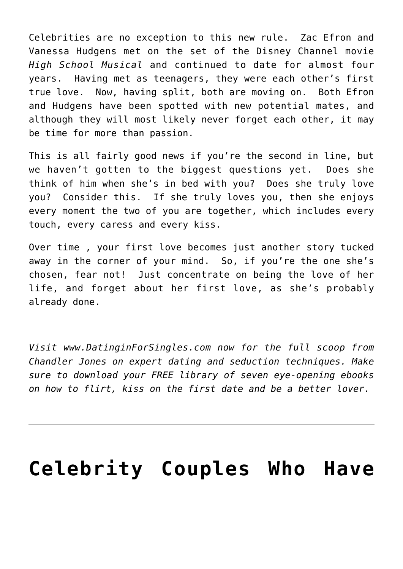Celebrities are no exception to this new rule. Zac Efron and Vanessa Hudgens met on the set of the Disney Channel movie *High School Musical* and continued to date for almost four years. Having met as teenagers, they were each other's first true love. Now, having split, both are moving on. Both Efron and Hudgens have been spotted with new potential mates, and although they will most likely never forget each other, it may be time for more than passion.

This is all fairly good news if you're the second in line, but we haven't gotten to the biggest questions yet. Does she think of him when she's in bed with you? Does she truly love you? Consider this. If she truly loves you, then she enjoys every moment the two of you are together, which includes every touch, every caress and every kiss.

Over time , your first love becomes just another story tucked away in the corner of your mind. So, if you're the one she's chosen, fear not! Just concentrate on being the love of her life, and forget about her first love, as she's probably already done.

*Visit www.DatinginForSingles.com now for the full scoop from Chandler Jones on expert dating and seduction techniques. Make sure to download your FREE library of seven eye-opening ebooks on how to flirt, kiss on the first date and be a better lover.*

### **[Celebrity Couples Who Have](https://cupidspulse.com/11449/celebrity-couples-who-have-stayed-together/)**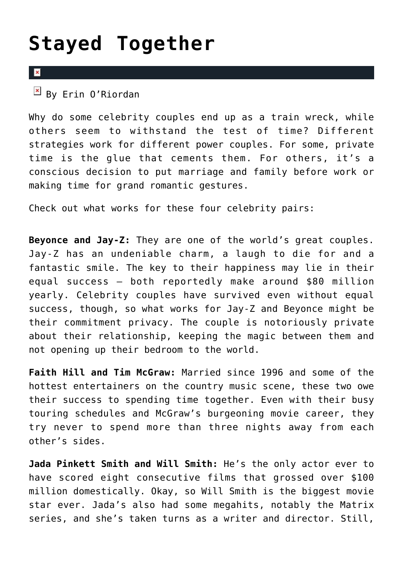### **[Stayed Together](https://cupidspulse.com/11449/celebrity-couples-who-have-stayed-together/)**

#### $\overline{\mathbf{x}}$

 $\overline{B}$  By Erin 0'Riordan

Why do some celebrity couples end up as a train wreck, while others seem to withstand the test of time? Different strategies work for different power couples. For some, private time is the glue that cements them. For others, it's a conscious decision to put marriage and family before work or making time for grand romantic gestures.

Check out what works for these four celebrity pairs:

**Beyonce and Jay-Z:** They are one of the world's great couples. Jay-Z has an undeniable charm, a laugh to die for and a fantastic smile. The key to their happiness may lie in their equal success – both reportedly make around \$80 million yearly. Celebrity couples have survived even without equal success, though, so what works for Jay-Z and Beyonce might be their commitment privacy. The couple is notoriously private about their relationship, keeping the magic between them and not opening up their bedroom to the world.

**Faith Hill and Tim McGraw:** Married since 1996 and some of the hottest entertainers on the country music scene, these two owe their success to spending time together. Even with their busy touring schedules and McGraw's burgeoning movie career, they try never to spend more than three nights away from each other's sides.

**Jada Pinkett Smith and Will Smith:** He's the only actor ever to have scored eight consecutive films that grossed over \$100 million domestically. Okay, so Will Smith is the biggest movie star ever. Jada's also had some megahits, notably the Matrix series, and she's taken turns as a writer and director. Still,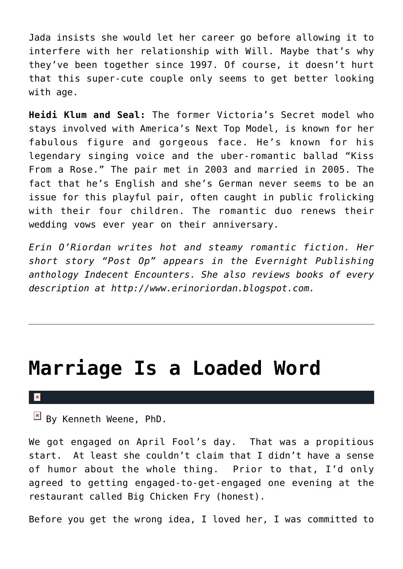Jada insists she would let her career go before allowing it to interfere with her relationship with Will. Maybe that's why they've been together since 1997. Of course, it doesn't hurt that this super-cute couple only seems to get better looking with age.

**Heidi Klum and Seal:** The former Victoria's Secret model who stays involved with America's Next Top Model, is known for her fabulous figure and gorgeous face. He's known for his legendary singing voice and the uber-romantic ballad "Kiss From a Rose." The pair met in 2003 and married in 2005. The fact that he's English and she's German never seems to be an issue for this playful pair, often caught in public frolicking with their four children. The romantic duo renews their wedding vows ever year on their anniversary.

*Erin O'Riordan writes hot and steamy romantic fiction. Her short story "Post Op" appears in the Evernight Publishing anthology Indecent Encounters. She also reviews books of every description at http://www.erinoriordan.blogspot.com.*

### **[Marriage Is a Loaded Word](https://cupidspulse.com/11446/marriage-is-a-loaded-word/)**

 $\mathbb{E}$  By Kenneth Weene, PhD.

We got engaged on April Fool's day. That was a propitious start. At least she couldn't claim that I didn't have a sense of humor about the whole thing. Prior to that, I'd only agreed to getting engaged-to-get-engaged one evening at the restaurant called Big Chicken Fry (honest).

Before you get the wrong idea, I loved her, I was committed to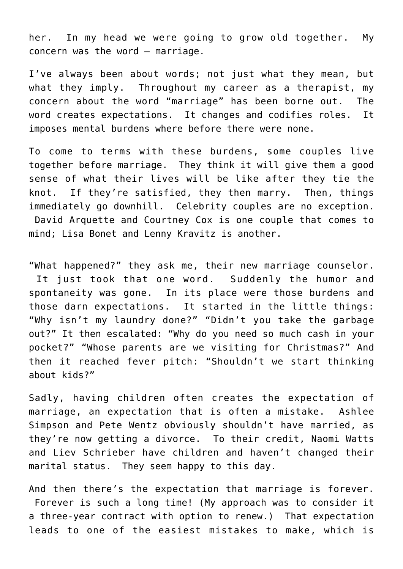her. In my head we were going to grow old together. My concern was the word — marriage.

I've always been about words; not just what they mean, but what they imply. Throughout my career as a therapist, my concern about the word "marriage" has been borne out. The word creates expectations. It changes and codifies roles. It imposes mental burdens where before there were none.

To come to terms with these burdens, some couples live together before marriage. They think it will give them a good sense of what their lives will be like after they tie the knot. If they're satisfied, they then marry. Then, things immediately go downhill. Celebrity couples are no exception. David Arquette and Courtney Cox is one couple that comes to mind; Lisa Bonet and Lenny Kravitz is another.

"What happened?" they ask me, their new marriage counselor. It just took that one word. Suddenly the humor and spontaneity was gone. In its place were those burdens and those darn expectations. It started in the little things: "Why isn't my laundry done?" "Didn't you take the garbage out?" It then escalated: "Why do you need so much cash in your pocket?" "Whose parents are we visiting for Christmas?" And then it reached fever pitch: "Shouldn't we start thinking about kids?"

Sadly, having children often creates the expectation of marriage, an expectation that is often a mistake. Ashlee Simpson and Pete Wentz obviously shouldn't have married, as they're now getting a divorce. To their credit, Naomi Watts and Liev Schrieber have children and haven't changed their marital status. They seem happy to this day.

And then there's the expectation that marriage is forever. Forever is such a long time! (My approach was to consider it a three-year contract with option to renew.) That expectation leads to one of the easiest mistakes to make, which is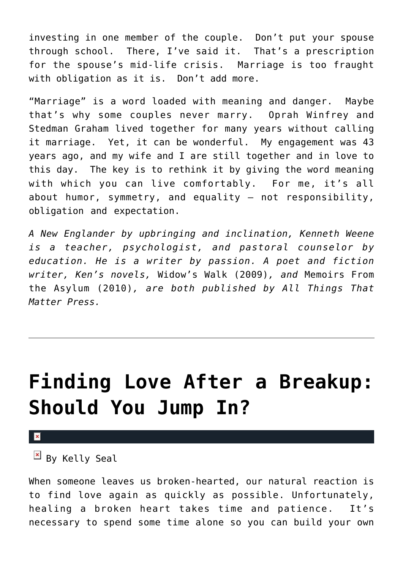investing in one member of the couple. Don't put your spouse through school. There, I've said it. That's a prescription for the spouse's mid-life crisis. Marriage is too fraught with obligation as it is. Don't add more.

"Marriage" is a word loaded with meaning and danger. Maybe that's why some couples never marry. Oprah Winfrey and Stedman Graham lived together for many years without calling it marriage. Yet, it can be wonderful. My engagement was 43 years ago, and my wife and I are still together and in love to this day. The key is to rethink it by giving the word meaning with which you can live comfortably. For me, it's all about humor, symmetry, and equality — not responsibility, obligation and expectation.

*A New Englander by upbringing and inclination, Kenneth Weene is a teacher, psychologist, and pastoral counselor by education. He is a writer by passion. A poet and fiction writer, Ken's novels,* Widow's Walk (2009)*, and* Memoirs From the Asylum (2010)*, are both published by All Things That Matter Press.*

### **[Finding Love After a Breakup:](https://cupidspulse.com/11309/finding-love-after-a-break-up-should-you-jump-in/) [Should You Jump In?](https://cupidspulse.com/11309/finding-love-after-a-break-up-should-you-jump-in/)**

×

 $\boxed{\times}$  By Kelly Seal

When someone leaves us broken-hearted, our natural reaction is to find love again as quickly as possible. Unfortunately, healing a broken heart takes time and patience. It's necessary to spend some time alone so you can build your own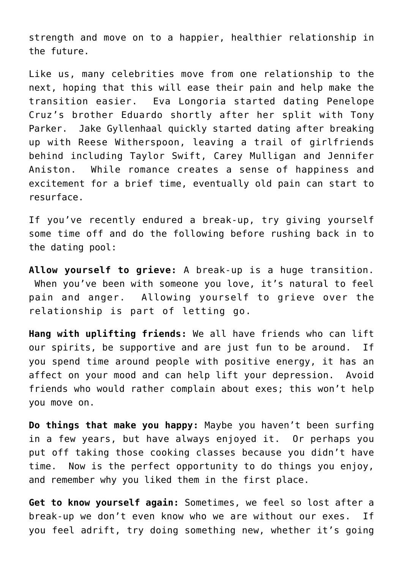strength and move on to a happier, healthier relationship in the future.

Like us, many celebrities move from one relationship to the next, hoping that this will ease their pain and help make the transition easier. Eva Longoria started dating Penelope Cruz's brother Eduardo shortly after her split with Tony Parker. Jake Gyllenhaal quickly started dating after breaking up with Reese Witherspoon, leaving a trail of girlfriends behind including Taylor Swift, Carey Mulligan and Jennifer Aniston. While romance creates a sense of happiness and excitement for a brief time, eventually old pain can start to resurface.

If you've recently endured a break-up, try giving yourself some time off and do the following before rushing back in to the dating pool:

**Allow yourself to grieve:** A break-up is a huge transition. When you've been with someone you love, it's natural to feel pain and anger. Allowing yourself to grieve over the relationship is part of letting go.

**Hang with uplifting friends:** We all have friends who can lift our spirits, be supportive and are just fun to be around. If you spend time around people with positive energy, it has an affect on your mood and can help lift your depression. Avoid friends who would rather complain about exes; this won't help you move on.

**Do things that make you happy:** Maybe you haven't been surfing in a few years, but have always enjoyed it. Or perhaps you put off taking those cooking classes because you didn't have time. Now is the perfect opportunity to do things you enjoy, and remember why you liked them in the first place.

**Get to know yourself again:** Sometimes, we feel so lost after a break-up we don't even know who we are without our exes. If you feel adrift, try doing something new, whether it's going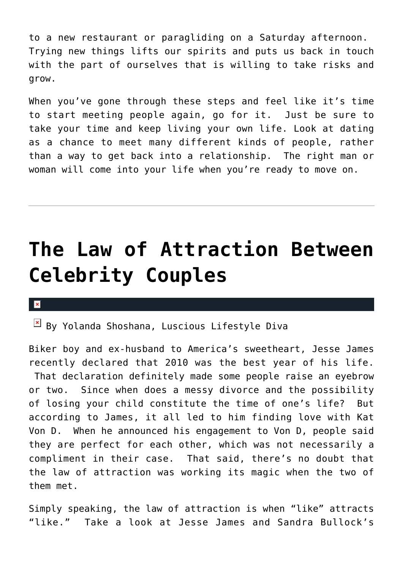to a new restaurant or paragliding on a Saturday afternoon. Trying new things lifts our spirits and puts us back in touch with the part of ourselves that is willing to take risks and grow.

When you've gone through these steps and feel like it's time to start meeting people again, go for it. Just be sure to take your time and keep living your own life. Look at dating as a chance to meet many different kinds of people, rather than a way to get back into a relationship. The right man or woman will come into your life when you're ready to move on.

### **[The Law of Attraction Between](https://cupidspulse.com/10075/the-law-of-attraction-between-celebrity-couples/) [Celebrity Couples](https://cupidspulse.com/10075/the-law-of-attraction-between-celebrity-couples/)**

#### $\mathbf{x}$

 $B$  By Yolanda Shoshana, Luscious Lifestyle Diva

Biker boy and ex-husband to America's sweetheart, Jesse James recently declared that 2010 was the best year of his life. That declaration definitely made some people raise an eyebrow or two. Since when does a messy divorce and the possibility of losing your child constitute the time of one's life? But according to James, it all led to him finding love with Kat Von D. When he announced his engagement to Von D, people said they are perfect for each other, which was not necessarily a compliment in their case. That said, there's no doubt that the law of attraction was working its magic when the two of them met.

Simply speaking, the law of attraction is when "like" attracts "like." Take a look at Jesse James and Sandra Bullock's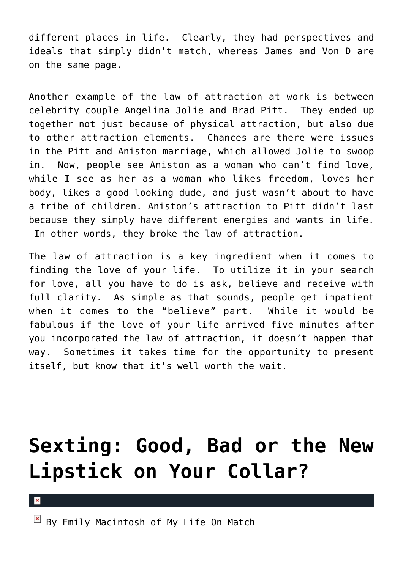different places in life. Clearly, they had perspectives and ideals that simply didn't match, whereas James and Von D are on the same page.

Another example of the law of attraction at work is between celebrity couple Angelina Jolie and Brad Pitt. They ended up together not just because of physical attraction, but also due to other attraction elements. Chances are there were issues in the Pitt and Aniston marriage, which allowed Jolie to swoop in. Now, people see Aniston as a woman who can't find love, while I see as her as a woman who likes freedom, loves her body, likes a good looking dude, and just wasn't about to have a tribe of children. Aniston's attraction to Pitt didn't last because they simply have different energies and wants in life. In other words, they broke the law of attraction.

The law of attraction is a key ingredient when it comes to finding the love of your life. To utilize it in your search for love, all you have to do is ask, believe and receive with full clarity. As simple as that sounds, people get impatient when it comes to the "believe" part. While it would be fabulous if the love of your life arrived five minutes after you incorporated the law of attraction, it doesn't happen that way. Sometimes it takes time for the opportunity to present itself, but know that it's well worth the wait.

# **[Sexting: Good, Bad or the New](https://cupidspulse.com/10092/sexting-good-bad-or-the-new-lipstick-on-your-collar/) [Lipstick on Your Collar?](https://cupidspulse.com/10092/sexting-good-bad-or-the-new-lipstick-on-your-collar/)**

×

 $\mathbb{E}$  By Emily Macintosh of My Life On Match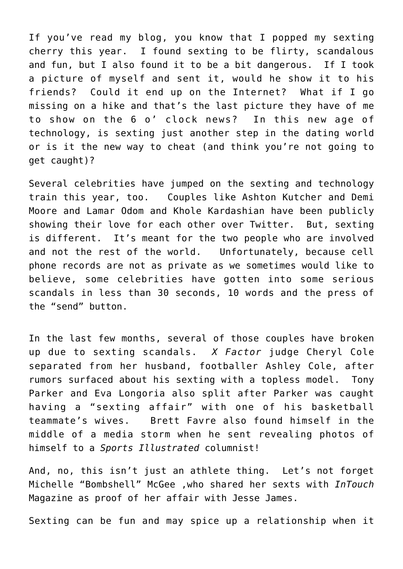If you've read my blog, you know that I popped my sexting cherry this year. I found sexting to be flirty, scandalous and fun, but I also found it to be a bit dangerous. If I took a picture of myself and sent it, would he show it to his friends? Could it end up on the Internet? What if I go missing on a hike and that's the last picture they have of me to show on the 6 o' clock news? In this new age of technology, is sexting just another step in the dating world or is it the new way to cheat (and think you're not going to get caught)?

Several celebrities have jumped on the sexting and technology train this year, too. Couples like Ashton Kutcher and Demi Moore and Lamar Odom and Khole Kardashian have been publicly showing their love for each other over Twitter. But, sexting is different. It's meant for the two people who are involved and not the rest of the world. Unfortunately, because cell phone records are not as private as we sometimes would like to believe, some celebrities have gotten into some serious scandals in less than 30 seconds, 10 words and the press of the "send" button.

In the last few months, several of those couples have broken up due to sexting scandals. *X Factor* judge Cheryl Cole separated from her husband, footballer Ashley Cole, after rumors surfaced about his sexting with a topless model. Tony Parker and Eva Longoria also split after Parker was caught having a "sexting affair" with one of his basketball teammate's wives. Brett Favre also found himself in the middle of a media storm when he sent revealing photos of himself to a *Sports Illustrated* columnist!

And, no, this isn't just an athlete thing. Let's not forget Michelle "Bombshell" McGee ,who shared her sexts with *InTouch* Magazine as proof of her affair with Jesse James.

Sexting can be fun and may spice up a relationship when it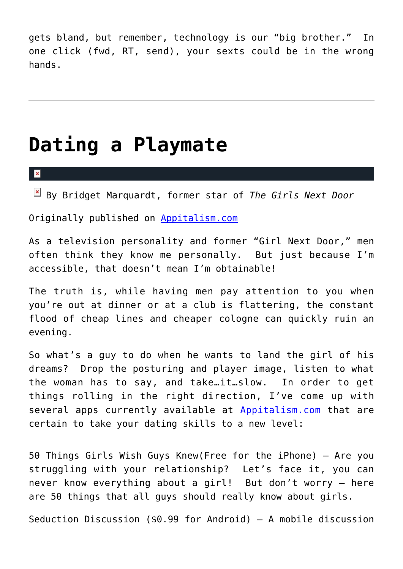gets bland, but remember, technology is our "big brother." In one click (fwd, RT, send), your sexts could be in the wrong hands.

### **[Dating a Playmate](https://cupidspulse.com/11005/dating-a-playmate/)**

 $\pmb{\times}$ 

By Bridget Marquardt, former star of *The Girls Next Door*

Originally published on [Appitalism.com](http://www.appitalism.com/news/345-dating-a-playmate/)

As a television personality and former "Girl Next Door," men often think they know me personally. But just because I'm accessible, that doesn't mean I'm obtainable!

The truth is, while having men pay attention to you when you're out at dinner or at a club is flattering, the constant flood of cheap lines and cheaper cologne can quickly ruin an evening.

So what's a guy to do when he wants to land the girl of his dreams? Drop the posturing and player image, listen to what the woman has to say, and take…it…slow. In order to get things rolling in the right direction, I've come up with several apps currently available at [Appitalism.com](http://www.appitalism.com/news/345-dating-a-playmate/) that are certain to take your dating skills to a new level:

50 Things Girls Wish Guys Knew(Free for the iPhone) – Are you struggling with your relationship? Let's face it, you can never know everything about a girl! But don't worry – here are 50 things that all guys should really know about girls.

Seduction Discussion (\$0.99 for Android) – A mobile discussion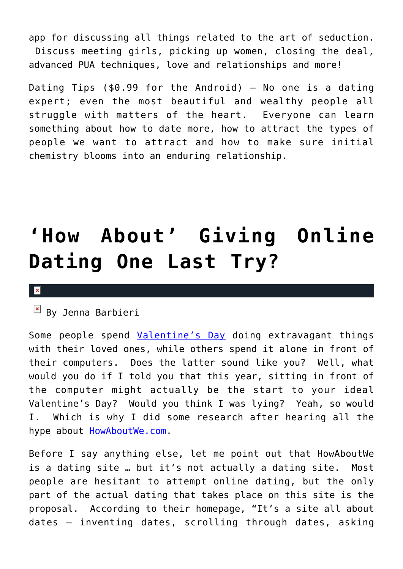app for discussing all things related to the art of seduction. Discuss meeting girls, picking up women, closing the deal, advanced PUA techniques, love and relationships and more!

Dating Tips  $(50.99$  for the Android) - No one is a dating expert; even the most beautiful and wealthy people all struggle with matters of the heart. Everyone can learn something about how to date more, how to attract the types of people we want to attract and how to make sure initial chemistry blooms into an enduring relationship.

# **['How About' Giving Online](https://cupidspulse.com/10792/how-about-giving-online-dating-one-last-try/) [Dating One Last Try?](https://cupidspulse.com/10792/how-about-giving-online-dating-one-last-try/)**

#### $\pmb{\times}$

 $\overline{B}$  By Jenna Barbieri

Some people spend [Valentine's Day](http://cupidspulse.com/tag/valentines-day/) doing extravagant things with their loved ones, while others spend it alone in front of their computers. Does the latter sound like you? Well, what would you do if I told you that this year, sitting in front of the computer might actually be the start to your ideal Valentine's Day? Would you think I was lying? Yeah, so would I. Which is why I did some research after hearing all the hype about **HowAboutWe.com**.

Before I say anything else, let me point out that HowAboutWe is a dating site … but it's not actually a dating site. Most people are hesitant to attempt online dating, but the only part of the actual dating that takes place on this site is the proposal. According to their homepage, "It's a site all about dates – inventing dates, scrolling through dates, asking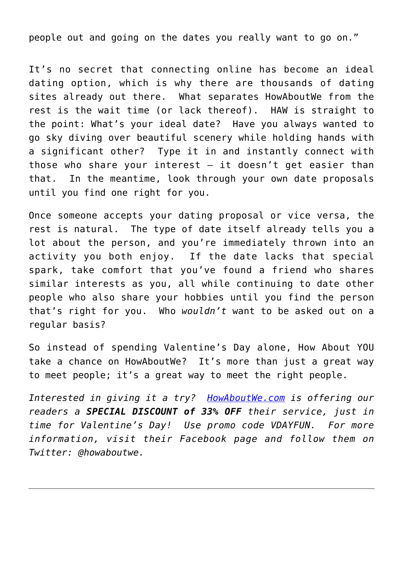people out and going on the dates you really want to go on."

It's no secret that connecting online has become an ideal dating option, which is why there are thousands of dating sites already out there. What separates HowAboutWe from the rest is the wait time (or lack thereof). HAW is straight to the point: What's your ideal date? Have you always wanted to go sky diving over beautiful scenery while holding hands with a significant other? Type it in and instantly connect with those who share your interest  $-$  it doesn't get easier than that. In the meantime, look through your own date proposals until you find one right for you.

Once someone accepts your dating proposal or vice versa, the rest is natural. The type of date itself already tells you a lot about the person, and you're immediately thrown into an activity you both enjoy. If the date lacks that special spark, take comfort that you've found a friend who shares similar interests as you, all while continuing to date other people who also share your hobbies until you find the person that's right for you. Who *wouldn't* want to be asked out on a regular basis?

So instead of spending Valentine's Day alone, How About YOU take a chance on HowAboutWe? It's more than just a great way to meet people; it's a great way to meet the right people.

*Interested in giving it a try? [HowAboutWe.com](http://www.howaboutwe.com/?source=SIVDAY) is offering our readers a SPECIAL DISCOUNT of 33% OFF their service, just in time for Valentine's Day! Use promo code VDAYFUN. For more information, visit their Facebook page and follow them on Twitter: @howaboutwe.*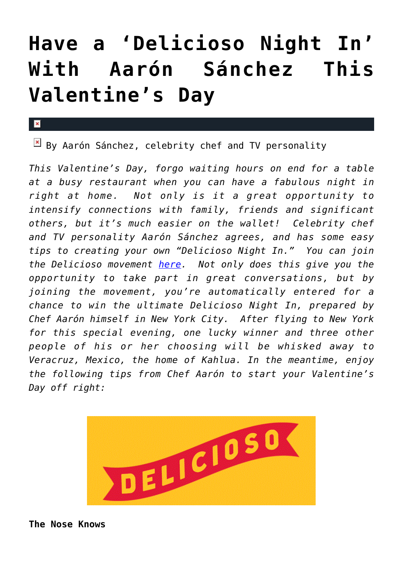# **[Have a 'Delicioso Night In'](https://cupidspulse.com/10920/delicioso-night-in-kahlua-this-valentines-day/) [With Aarón Sánchez This](https://cupidspulse.com/10920/delicioso-night-in-kahlua-this-valentines-day/) [Valentine's Day](https://cupidspulse.com/10920/delicioso-night-in-kahlua-this-valentines-day/)**

 $\boxed{\times}$  By Aarón Sánchez, celebrity chef and TV personality

*This Valentine's Day, forgo waiting hours on end for a table at a busy restaurant when you can have a fabulous night in right at home. Not only is it a great opportunity to intensify connections with family, friends and significant others, but it's much easier on the wallet! Celebrity chef and TV personality Aarón Sánchez agrees, and has some easy tips to creating your own "Delicioso Night In." You can join the Delicioso movement [here.](http://www.kahlua.com/deliciosonightin/) Not only does this give you the opportunity to take part in great conversations, but by joining the movement, you're automatically entered for a chance to win the ultimate Delicioso Night In, prepared by Chef Aarón himself in New York City. After flying to New York for this special evening, one lucky winner and three other people of his or her choosing will be whisked away to Veracruz, Mexico, the home of Kahlua. In the meantime, enjoy the following tips from Chef Aarón to start your Valentine's Day off right:*



**The Nose Knows**

 $\mathbf x$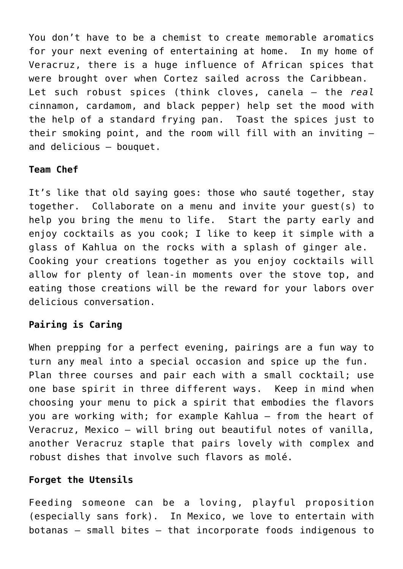You don't have to be a chemist to create memorable aromatics for your next evening of entertaining at home. In my home of Veracruz, there is a huge influence of African spices that were brought over when Cortez sailed across the Caribbean. Let such robust spices (think cloves, canela – the *real* cinnamon, cardamom, and black pepper) help set the mood with the help of a standard frying pan. Toast the spices just to their smoking point, and the room will fill with an inviting – and delicious – bouquet.

#### **Team Chef**

It's like that old saying goes: those who sauté together, stay together. Collaborate on a menu and invite your guest(s) to help you bring the menu to life. Start the party early and enjoy cocktails as you cook; I like to keep it simple with a glass of Kahlua on the rocks with a splash of ginger ale. Cooking your creations together as you enjoy cocktails will allow for plenty of lean-in moments over the stove top, and eating those creations will be the reward for your labors over delicious conversation.

### **Pairing is Caring**

When prepping for a perfect evening, pairings are a fun way to turn any meal into a special occasion and spice up the fun. Plan three courses and pair each with a small cocktail; use one base spirit in three different ways. Keep in mind when choosing your menu to pick a spirit that embodies the flavors you are working with; for example Kahlua – from the heart of Veracruz, Mexico – will bring out beautiful notes of vanilla, another Veracruz staple that pairs lovely with complex and robust dishes that involve such flavors as molé.

### **Forget the Utensils**

Feeding someone can be a loving, playful proposition (especially sans fork). In Mexico, we love to entertain with botanas – small bites – that incorporate foods indigenous to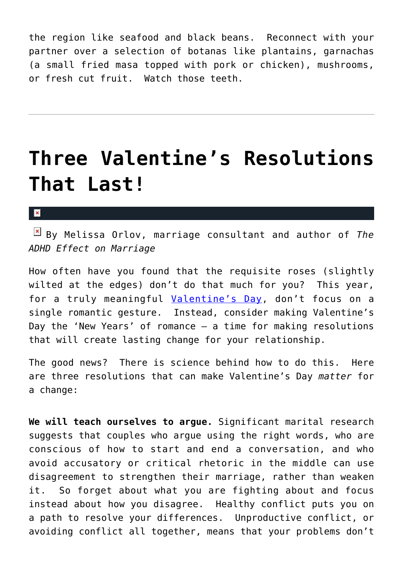the region like seafood and black beans. Reconnect with your partner over a selection of botanas like plantains, garnachas (a small fried masa topped with pork or chicken), mushrooms, or fresh cut fruit. Watch those teeth.

### **[Three Valentine's Resolutions](https://cupidspulse.com/10769/three-valentines-resolutions-that-last/) [That Last!](https://cupidspulse.com/10769/three-valentines-resolutions-that-last/)**

 $\mathbf{x}$ 

By Melissa Orlov, marriage consultant and author of *The ADHD Effect on Marriage*

How often have you found that the requisite roses (slightly wilted at the edges) don't do that much for you? This year, for a truly meaningful [Valentine's Day](http://cupidspulse.com/tag/valentines-day/), don't focus on a single romantic gesture. Instead, consider making Valentine's Day the 'New Years' of romance – a time for making resolutions that will create lasting change for your relationship.

The good news? There is science behind how to do this. Here are three resolutions that can make Valentine's Day *matter* for a change:

**We will teach ourselves to argue.** Significant marital research suggests that couples who argue using the right words, who are conscious of how to start and end a conversation, and who avoid accusatory or critical rhetoric in the middle can use disagreement to strengthen their marriage, rather than weaken it. So forget about what you are fighting about and focus instead about how you disagree. Healthy conflict puts you on a path to resolve your differences. Unproductive conflict, or avoiding conflict all together, means that your problems don't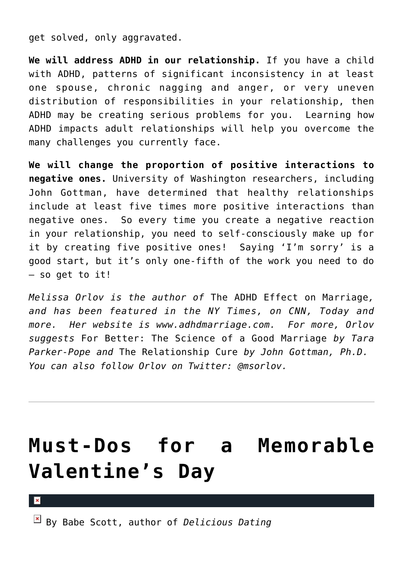get solved, only aggravated.

**We will address ADHD in our relationship.** If you have a child with ADHD, patterns of significant inconsistency in at least one spouse, chronic nagging and anger, or very uneven distribution of responsibilities in your relationship, then ADHD may be creating serious problems for you. Learning how ADHD impacts adult relationships will help you overcome the many challenges you currently face.

**We will change the proportion of positive interactions to negative ones.** University of Washington researchers, including John Gottman, have determined that healthy relationships include at least five times more positive interactions than negative ones. So every time you create a negative reaction in your relationship, you need to self-consciously make up for it by creating five positive ones! Saying 'I'm sorry' is a good start, but it's only one-fifth of the work you need to do – so get to it!

*Melissa Orlov is the author of* The ADHD Effect on Marriage*, and has been featured in the NY Times, on CNN, Today and more. Her website is www.adhdmarriage.com. For more, Orlov suggests* For Better: The Science of a Good Marriage *by Tara Parker-Pope and* The Relationship Cure *by John Gottman, Ph.D. You can also follow Orlov on Twitter: @msorlov.*

### **[Must-Dos for a Memorable](https://cupidspulse.com/10337/must-dos-for-a-memorable-valentines-day/) [Valentine's Day](https://cupidspulse.com/10337/must-dos-for-a-memorable-valentines-day/)**

By Babe Scott, author of *Delicious Dating*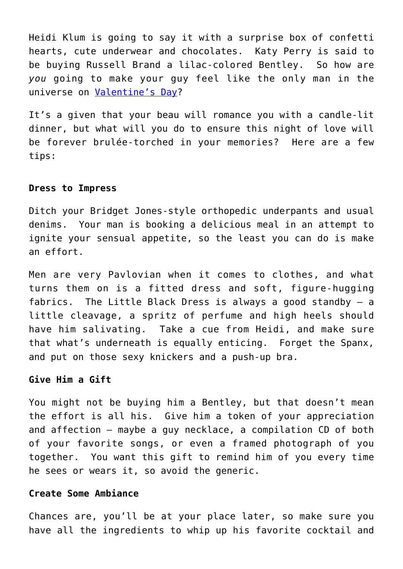Heidi Klum is going to say it with a surprise box of confetti hearts, cute underwear and chocolates. Katy Perry is said to be buying Russell Brand a lilac-colored Bentley. So how are *you* going to make your guy feel like the only man in the universe on [Valentine's Day?](http://cupidspulse.com/tag/valentines-day/)

It's a given that your beau will romance you with a candle-lit dinner, but what will you do to ensure this night of love will be forever brulée-torched in your memories? Here are a few tips:

#### **Dress to Impress**

Ditch your Bridget Jones-style orthopedic underpants and usual denims. Your man is booking a delicious meal in an attempt to ignite your sensual appetite, so the least you can do is make an effort.

Men are very Pavlovian when it comes to clothes, and what turns them on is a fitted dress and soft, figure-hugging fabrics. The Little Black Dress is always a good standby – a little cleavage, a spritz of perfume and high heels should have him salivating. Take a cue from Heidi, and make sure that what's underneath is equally enticing. Forget the Spanx, and put on those sexy knickers and a push-up bra.

#### **Give Him a Gift**

You might not be buying him a Bentley, but that doesn't mean the effort is all his. Give him a token of your appreciation and affection – maybe a guy necklace, a compilation CD of both of your favorite songs, or even a framed photograph of you together. You want this gift to remind him of you every time he sees or wears it, so avoid the generic.

#### **Create Some Ambiance**

Chances are, you'll be at your place later, so make sure you have all the ingredients to whip up his favorite cocktail and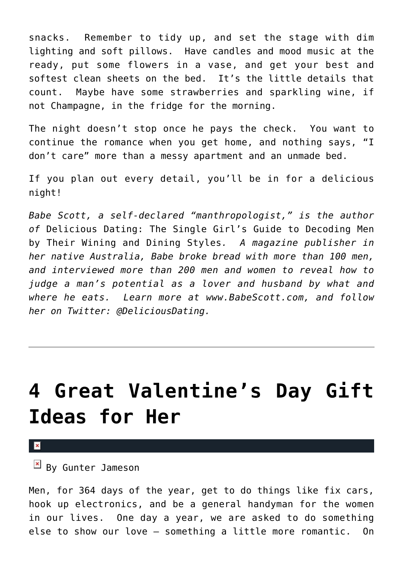snacks. Remember to tidy up, and set the stage with dim lighting and soft pillows. Have candles and mood music at the ready, put some flowers in a vase, and get your best and softest clean sheets on the bed. It's the little details that count. Maybe have some strawberries and sparkling wine, if not Champagne, in the fridge for the morning.

The night doesn't stop once he pays the check. You want to continue the romance when you get home, and nothing says, "I don't care" more than a messy apartment and an unmade bed.

If you plan out every detail, you'll be in for a delicious night!

*Babe Scott, a self-declared "manthropologist," is the author of* Delicious Dating: The Single Girl's Guide to Decoding Men by Their Wining and Dining Styles*. A magazine publisher in her native Australia, Babe broke bread with more than 100 men, and interviewed more than 200 men and women to reveal how to judge a man's potential as a lover and husband by what and where he eats. Learn more at www.BabeScott.com, and follow her on Twitter: @DeliciousDating.*

### **[4 Great Valentine's Day Gift](https://cupidspulse.com/10078/4-great-valentines-day-gift-ideas-for-her/) [Ideas for Her](https://cupidspulse.com/10078/4-great-valentines-day-gift-ideas-for-her/)**

 $\mathbf x$ 

 $\mathbb{F}$  By Gunter Jameson

Men, for 364 days of the year, get to do things like fix cars, hook up electronics, and be a general handyman for the women in our lives. One day a year, we are asked to do something else to show our love – something a little more romantic. On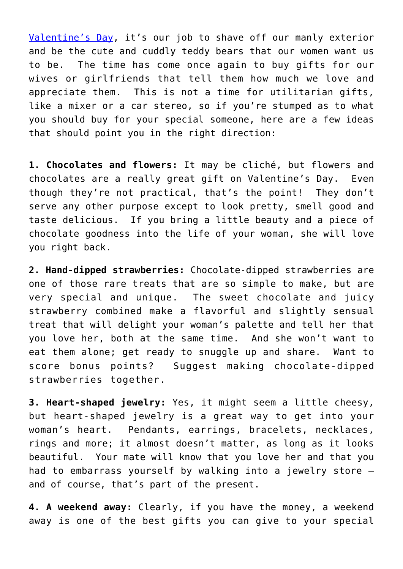[Valentine's Day](http://cupidspulse.com/tag/valentines-day/), it's our job to shave off our manly exterior and be the cute and cuddly teddy bears that our women want us to be. The time has come once again to buy gifts for our wives or girlfriends that tell them how much we love and appreciate them. This is not a time for utilitarian gifts, like a mixer or a car stereo, so if you're stumped as to what you should buy for your special someone, here are a few ideas that should point you in the right direction:

**1. Chocolates and flowers:** It may be cliché, but flowers and chocolates are a really great gift on Valentine's Day. Even though they're not practical, that's the point! They don't serve any other purpose except to look pretty, smell good and taste delicious. If you bring a little beauty and a piece of chocolate goodness into the life of your woman, she will love you right back.

**2. Hand-dipped strawberries:** Chocolate-dipped strawberries are one of those rare treats that are so simple to make, but are very special and unique. The sweet chocolate and juicy strawberry combined make a flavorful and slightly sensual treat that will delight your woman's palette and tell her that you love her, both at the same time. And she won't want to eat them alone; get ready to snuggle up and share. Want to score bonus points? Suggest making chocolate-dipped strawberries together.

**3. Heart-shaped jewelry:** Yes, it might seem a little cheesy, but heart-shaped jewelry is a great way to get into your woman's heart. Pendants, earrings, bracelets, necklaces, rings and more; it almost doesn't matter, as long as it looks beautiful. Your mate will know that you love her and that you had to embarrass yourself by walking into a jewelry store – and of course, that's part of the present.

**4. A weekend away:** Clearly, if you have the money, a weekend away is one of the best gifts you can give to your special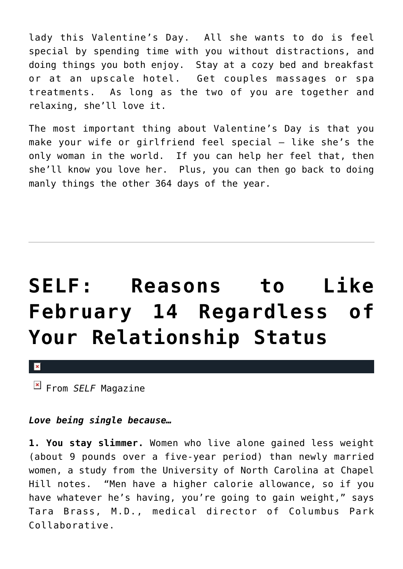lady this Valentine's Day. All she wants to do is feel special by spending time with you without distractions, and doing things you both enjoy. Stay at a cozy bed and breakfast or at an upscale hotel. Get couples massages or spa treatments. As long as the two of you are together and relaxing, she'll love it.

The most important thing about Valentine's Day is that you make your wife or girlfriend feel special – like she's the only woman in the world. If you can help her feel that, then she'll know you love her. Plus, you can then go back to doing manly things the other 364 days of the year.

# **[SELF: Reasons to Like](https://cupidspulse.com/10539/self-reasons-to-like-february-14-regardless-of-your-relationship-status/) [February 14 Regardless of](https://cupidspulse.com/10539/self-reasons-to-like-february-14-regardless-of-your-relationship-status/) [Your Relationship Status](https://cupidspulse.com/10539/self-reasons-to-like-february-14-regardless-of-your-relationship-status/)**

 $\pmb{\times}$ 

From *SELF* Magazine

### *Love being single because…*

**1. You stay slimmer.** Women who live alone gained less weight (about 9 pounds over a five-year period) than newly married women, a study from the University of North Carolina at Chapel Hill notes. "Men have a higher calorie allowance, so if you have whatever he's having, you're going to gain weight," says Tara Brass, M.D., medical director of Columbus Park Collaborative.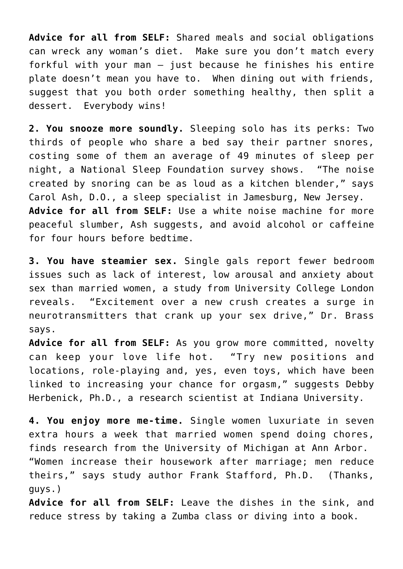**Advice for all from SELF:** Shared meals and social obligations can wreck any woman's diet. Make sure you don't match every forkful with your man – just because he finishes his entire plate doesn't mean you have to. When dining out with friends, suggest that you both order something healthy, then split a dessert. Everybody wins!

**2. You snooze more soundly.** Sleeping solo has its perks: Two thirds of people who share a bed say their partner snores, costing some of them an average of 49 minutes of sleep per night, a National Sleep Foundation survey shows. "The noise created by snoring can be as loud as a kitchen blender," says Carol Ash, D.O., a sleep specialist in Jamesburg, New Jersey. **Advice for all from SELF:** Use a white noise machine for more peaceful slumber, Ash suggests, and avoid alcohol or caffeine for four hours before bedtime.

**3. You have steamier sex.** Single gals report fewer bedroom issues such as lack of interest, low arousal and anxiety about sex than married women, a study from University College London reveals. "Excitement over a new crush creates a surge in neurotransmitters that crank up your sex drive," Dr. Brass says.

**Advice for all from SELF:** As you grow more committed, novelty can keep your love life hot. "Try new positions and locations, role-playing and, yes, even toys, which have been linked to increasing your chance for orgasm," suggests Debby Herbenick, Ph.D., a research scientist at Indiana University.

**4. You enjoy more me-time.** Single women luxuriate in seven extra hours a week that married women spend doing chores, finds research from the University of Michigan at Ann Arbor. "Women increase their housework after marriage; men reduce theirs," says study author Frank Stafford, Ph.D. (Thanks, guys.)

**Advice for all from SELF:** Leave the dishes in the sink, and reduce stress by taking a Zumba class or diving into a book.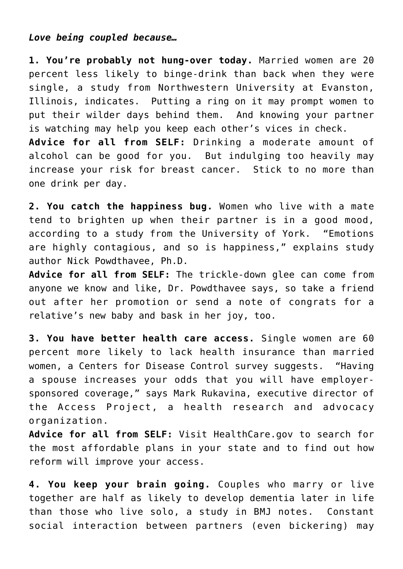### *Love being coupled because…*

**1. You're probably not hung-over today.** Married women are 20 percent less likely to binge-drink than back when they were single, a study from Northwestern University at Evanston, Illinois, indicates. Putting a ring on it may prompt women to put their wilder days behind them. And knowing your partner is watching may help you keep each other's vices in check. **Advice for all from SELF:** Drinking a moderate amount of alcohol can be good for you. But indulging too heavily may increase your risk for breast cancer. Stick to no more than one drink per day.

**2. You catch the happiness bug.** Women who live with a mate tend to brighten up when their partner is in a good mood, according to a study from the University of York. "Emotions are highly contagious, and so is happiness," explains study author Nick Powdthavee, Ph.D.

**Advice for all from SELF:** The trickle-down glee can come from anyone we know and like, Dr. Powdthavee says, so take a friend out after her promotion or send a note of congrats for a relative's new baby and bask in her joy, too.

**3. You have better health care access.** Single women are 60 percent more likely to lack health insurance than married women, a Centers for Disease Control survey suggests. "Having a spouse increases your odds that you will have employersponsored coverage," says Mark Rukavina, executive director of the Access Project, a health research and advocacy organization.

**Advice for all from SELF:** Visit HealthCare.gov to search for the most affordable plans in your state and to find out how reform will improve your access.

**4. You keep your brain going.** Couples who marry or live together are half as likely to develop dementia later in life than those who live solo, a study in BMJ notes. Constant social interaction between partners (even bickering) may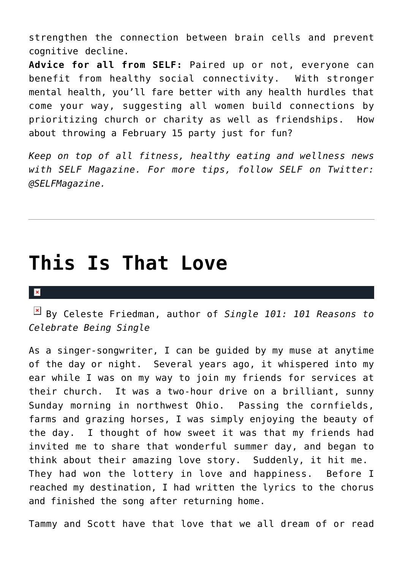strengthen the connection between brain cells and prevent cognitive decline.

**Advice for all from SELF:** Paired up or not, everyone can benefit from healthy social connectivity. With stronger mental health, you'll fare better with any health hurdles that come your way, suggesting all women build connections by prioritizing church or charity as well as friendships. How about throwing a February 15 party just for fun?

*Keep on top of all fitness, healthy eating and wellness news with SELF Magazine. For more tips, follow SELF on Twitter: @SELFMagazine.*

### **[This Is That Love](https://cupidspulse.com/10134/this-is-that-love/)**

#### $\mathbf{x}$

By Celeste Friedman, author of *Single 101: 101 Reasons to Celebrate Being Single*

As a singer-songwriter, I can be guided by my muse at anytime of the day or night. Several years ago, it whispered into my ear while I was on my way to join my friends for services at their church. It was a two-hour drive on a brilliant, sunny Sunday morning in northwest Ohio. Passing the cornfields, farms and grazing horses, I was simply enjoying the beauty of the day. I thought of how sweet it was that my friends had invited me to share that wonderful summer day, and began to think about their amazing love story. Suddenly, it hit me. They had won the lottery in love and happiness. Before I reached my destination, I had written the lyrics to the chorus and finished the song after returning home.

Tammy and Scott have that love that we all dream of or read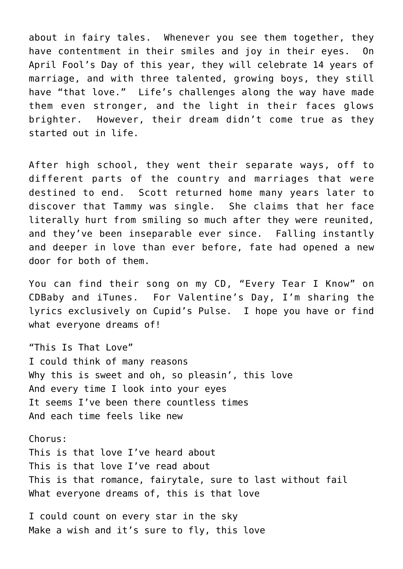about in fairy tales. Whenever you see them together, they have contentment in their smiles and joy in their eyes. On April Fool's Day of this year, they will celebrate 14 years of marriage, and with three talented, growing boys, they still have "that love." Life's challenges along the way have made them even stronger, and the light in their faces glows brighter. However, their dream didn't come true as they started out in life.

After high school, they went their separate ways, off to different parts of the country and marriages that were destined to end. Scott returned home many years later to discover that Tammy was single. She claims that her face literally hurt from smiling so much after they were reunited, and they've been inseparable ever since. Falling instantly and deeper in love than ever before, fate had opened a new door for both of them.

You can find their song on my CD, "Every Tear I Know" on CDBaby and iTunes. For Valentine's Day, I'm sharing the lyrics exclusively on Cupid's Pulse. I hope you have or find what everyone dreams of!

"This Is That Love" I could think of many reasons Why this is sweet and oh, so pleasin', this love And every time I look into your eyes It seems I've been there countless times And each time feels like new

Chorus: This is that love I've heard about This is that love I've read about This is that romance, fairytale, sure to last without fail What everyone dreams of, this is that love

I could count on every star in the sky Make a wish and it's sure to fly, this love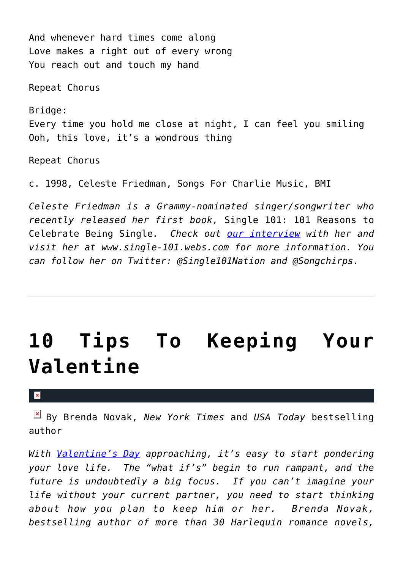And whenever hard times come along Love makes a right out of every wrong You reach out and touch my hand

Repeat Chorus

Bridge: Every time you hold me close at night, I can feel you smiling Ooh, this love, it's a wondrous thing

Repeat Chorus

c. 1998, Celeste Friedman, Songs For Charlie Music, BMI

*Celeste Friedman is a Grammy-nominated singer/songwriter who recently released her first book,* Single 101: 101 Reasons to Celebrate Being Single*. Check out [our interview](https://cupidspulse.com/2011/01/31/celebrate-being-single-with-celeste-friedmans-single-101/) with her and visit her at www.single-101.webs.com for more information. You can follow her on Twitter: @Single101Nation and @Songchirps.*

### **[10 Tips To Keeping Your](https://cupidspulse.com/9786/10-tips-to-keeping-your-valentine/) [Valentine](https://cupidspulse.com/9786/10-tips-to-keeping-your-valentine/)**

#### $\mathbf{x}$

By Brenda Novak, *New York Times* and *USA Today* bestselling author

*With [Valentine's Day](http://cupidspulse.com/tag/valentines-day/) approaching, it's easy to start pondering your love life. The "what if's" begin to run rampant, and the future is undoubtedly a big focus. If you can't imagine your life without your current partner, you need to start thinking about how you plan to keep him or her. Brenda Novak, bestselling author of more than 30 Harlequin romance novels,*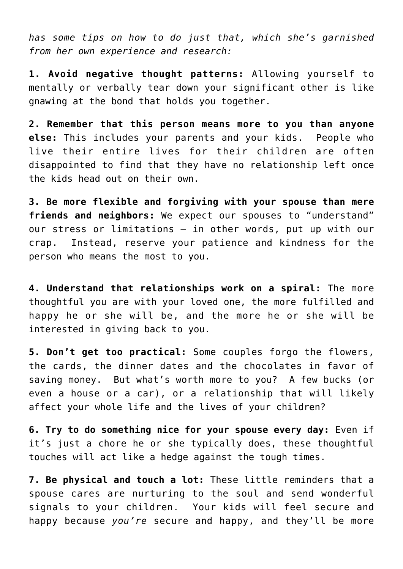*has some tips on how to do just that, which she's garnished from her own experience and research:*

**1. Avoid negative thought patterns:** Allowing yourself to mentally or verbally tear down your significant other is like gnawing at the bond that holds you together.

**2. Remember that this person means more to you than anyone else:** This includes your parents and your kids. People who live their entire lives for their children are often disappointed to find that they have no relationship left once the kids head out on their own.

**3. Be more flexible and forgiving with your spouse than mere friends and neighbors:** We expect our spouses to "understand" our stress or limitations – in other words, put up with our crap. Instead, reserve your patience and kindness for the person who means the most to you.

**4. Understand that relationships work on a spiral:** The more thoughtful you are with your loved one, the more fulfilled and happy he or she will be, and the more he or she will be interested in giving back to you.

**5. Don't get too practical:** Some couples forgo the flowers, the cards, the dinner dates and the chocolates in favor of saving money. But what's worth more to you? A few bucks (or even a house or a car), or a relationship that will likely affect your whole life and the lives of your children?

**6. Try to do something nice for your spouse every day:** Even if it's just a chore he or she typically does, these thoughtful touches will act like a hedge against the tough times.

**7. Be physical and touch a lot:** These little reminders that a spouse cares are nurturing to the soul and send wonderful signals to your children. Your kids will feel secure and happy because *you're* secure and happy, and they'll be more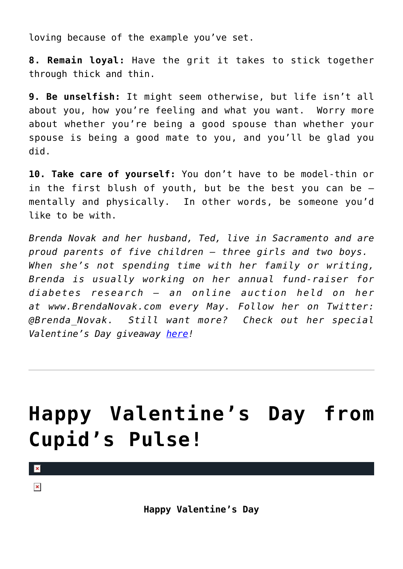loving because of the example you've set.

**8. Remain loyal:** Have the grit it takes to stick together through thick and thin.

**9. Be unselfish:** It might seem otherwise, but life isn't all about you, how you're feeling and what you want. Worry more about whether you're being a good spouse than whether your spouse is being a good mate to you, and you'll be glad you did.

**10. Take care of yourself:** You don't have to be model-thin or in the first blush of youth, but be the best you can be – mentally and physically. In other words, be someone you'd like to be with.

*Brenda Novak and her husband, Ted, live in Sacramento and are proud parents of five children – three girls and two boys. When she's not spending time with her family or writing, Brenda is usually working on her annual fund-raiser for diabetes research – an online auction held on her at www.BrendaNovak.com every May. Follow her on Twitter: @Brenda\_Novak. Still want more? Check out her special Valentine's Day giveaway [here](http://cupidspulse.com/2011/02/14/special-valentines-day-giveaway-from-bestselling-author-brenda-novak/)!*

# **[Happy Valentine's Day from](https://cupidspulse.com/10992/happy-valentines-day-from-cupids-pulse/) [Cupid's Pulse!](https://cupidspulse.com/10992/happy-valentines-day-from-cupids-pulse/)**

 $\pmb{\times}$  $\pmb{\times}$ 

**Happy Valentine's Day**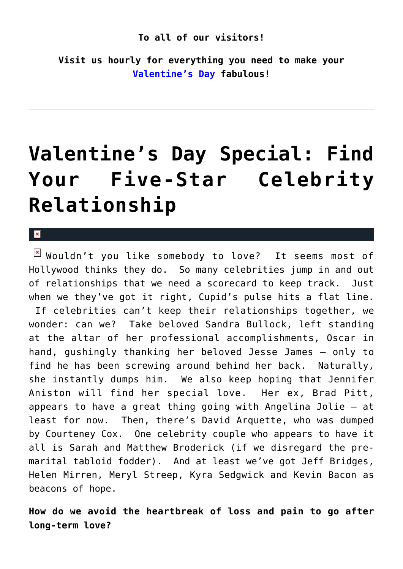#### **To all of our visitors!**

**Visit us hourly for everything you need to make your [Valentine's Day](http://cupidspulse.com/tag/valentines-day/) fabulous!**

### **[Valentine's Day Special: Find](https://cupidspulse.com/10141/valentines-day-special-find-your-five-star-find-your-five-star-celebrity-relationship/) [Your Five-Star Celebrity](https://cupidspulse.com/10141/valentines-day-special-find-your-five-star-find-your-five-star-celebrity-relationship/) [Relationship](https://cupidspulse.com/10141/valentines-day-special-find-your-five-star-find-your-five-star-celebrity-relationship/)**

#### $\pmb{\times}$

 $\boxed{\times}$  Wouldn't you like somebody to love? It seems most of Hollywood thinks they do. So many celebrities jump in and out of relationships that we need a scorecard to keep track. Just when we they've got it right, Cupid's pulse hits a flat line. If celebrities can't keep their relationships together, we wonder: can we? Take beloved Sandra Bullock, left standing at the altar of her professional accomplishments, Oscar in hand, gushingly thanking her beloved Jesse James – only to find he has been screwing around behind her back. Naturally, she instantly dumps him. We also keep hoping that Jennifer Aniston will find her special love. Her ex, Brad Pitt, appears to have a great thing going with Angelina Jolie – at least for now. Then, there's David Arquette, who was dumped by Courteney Cox. One celebrity couple who appears to have it all is Sarah and Matthew Broderick (if we disregard the premarital tabloid fodder). And at least we've got Jeff Bridges, Helen Mirren, Meryl Streep, Kyra Sedgwick and Kevin Bacon as beacons of hope.

**How do we avoid the heartbreak of loss and pain to go after long-term love?**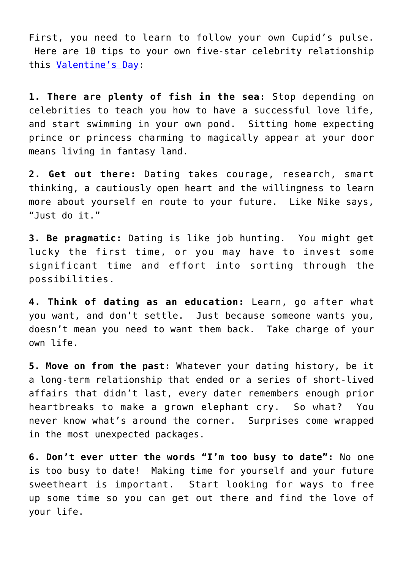First, you need to learn to follow your own Cupid's pulse. Here are 10 tips to your own five-star celebrity relationship this [Valentine's Day](http://cupidspulse.com/tag/valentines-day/):

**1. There are plenty of fish in the sea:** Stop depending on celebrities to teach you how to have a successful love life, and start swimming in your own pond. Sitting home expecting prince or princess charming to magically appear at your door means living in fantasy land.

**2. Get out there:** Dating takes courage, research, smart thinking, a cautiously open heart and the willingness to learn more about yourself en route to your future. Like Nike says, "Just do it."

**3. Be pragmatic:** Dating is like job hunting. You might get lucky the first time, or you may have to invest some significant time and effort into sorting through the possibilities.

**4. Think of dating as an education:** Learn, go after what you want, and don't settle. Just because someone wants you, doesn't mean you need to want them back. Take charge of your own life.

**5. Move on from the past:** Whatever your dating history, be it a long-term relationship that ended or a series of short-lived affairs that didn't last, every dater remembers enough prior heartbreaks to make a grown elephant cry. So what? You never know what's around the corner. Surprises come wrapped in the most unexpected packages.

**6. Don't ever utter the words "I'm too busy to date":** No one is too busy to date! Making time for yourself and your future sweetheart is important. Start looking for ways to free up some time so you can get out there and find the love of your life.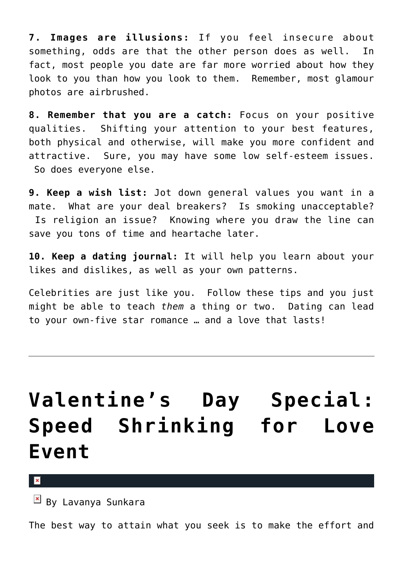**7. Images are illusions:** If you feel insecure about something, odds are that the other person does as well. In fact, most people you date are far more worried about how they look to you than how you look to them. Remember, most glamour photos are airbrushed.

**8. Remember that you are a catch:** Focus on your positive qualities. Shifting your attention to your best features, both physical and otherwise, will make you more confident and attractive. Sure, you may have some low self-esteem issues. So does everyone else.

**9. Keep a wish list:** Jot down general values you want in a mate. What are your deal breakers? Is smoking unacceptable? Is religion an issue? Knowing where you draw the line can save you tons of time and heartache later.

**10. Keep a dating journal:** It will help you learn about your likes and dislikes, as well as your own patterns.

Celebrities are just like you. Follow these tips and you just might be able to teach *them* a thing or two. Dating can lead to your own-five star romance … and a love that lasts!

### **[Valentine's Day Special:](https://cupidspulse.com/10884/valentines-day-special-speed-shrinking-for-love-event/) [Speed Shrinking for Love](https://cupidspulse.com/10884/valentines-day-special-speed-shrinking-for-love-event/) [Event](https://cupidspulse.com/10884/valentines-day-special-speed-shrinking-for-love-event/)**

 $\pmb{\times}$ 

By Lavanya Sunkara

The best way to attain what you seek is to make the effort and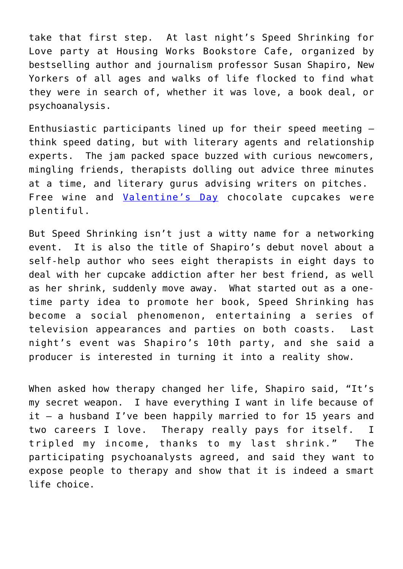take that first step. At last night's Speed Shrinking for Love party at Housing Works Bookstore Cafe, organized by bestselling author and journalism professor Susan Shapiro, New Yorkers of all ages and walks of life flocked to find what they were in search of, whether it was love, a book deal, or psychoanalysis.

Enthusiastic participants lined up for their speed meeting – think speed dating, but with literary agents and relationship experts. The jam packed space buzzed with curious newcomers, mingling friends, therapists dolling out advice three minutes at a time, and literary gurus advising writers on pitches. Free wine and [Valentine's Day](http://cupidspulse.com/tag/valentines-day/) chocolate cupcakes were plentiful.

But Speed Shrinking isn't just a witty name for a networking event. It is also the title of Shapiro's debut novel about a self-help author who sees eight therapists in eight days to deal with her cupcake addiction after her best friend, as well as her shrink, suddenly move away. What started out as a onetime party idea to promote her book, Speed Shrinking has become a social phenomenon, entertaining a series of television appearances and parties on both coasts. Last night's event was Shapiro's 10th party, and she said a producer is interested in turning it into a reality show.

When asked how therapy changed her life, Shapiro said, "It's my secret weapon. I have everything I want in life because of it – a husband I've been happily married to for 15 years and two careers I love. Therapy really pays for itself. I tripled my income, thanks to my last shrink." The participating psychoanalysts agreed, and said they want to expose people to therapy and show that it is indeed a smart life choice.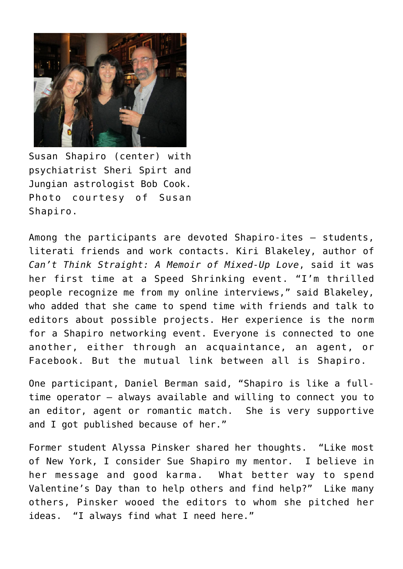

Susan Shapiro (center) with psychiatrist Sheri Spirt and Jungian astrologist Bob Cook. Photo courtesy of Susan Shapiro.

Among the participants are devoted Shapiro-ites – students, literati friends and work contacts. Kiri Blakeley, author of *Can't Think Straight: A Memoir of Mixed-Up Love*, said it was her first time at a Speed Shrinking event. "I'm thrilled people recognize me from my online interviews," said Blakeley, who added that she came to spend time with friends and talk to editors about possible projects. Her experience is the norm for a Shapiro networking event. Everyone is connected to one another, either through an acquaintance, an agent, or Facebook. But the mutual link between all is Shapiro.

One participant, Daniel Berman said, "Shapiro is like a fulltime operator – always available and willing to connect you to an editor, agent or romantic match. She is very supportive and I got published because of her."

Former student Alyssa Pinsker shared her thoughts. "Like most of New York, I consider Sue Shapiro my mentor. I believe in her message and good karma. What better way to spend Valentine's Day than to help others and find help?" Like many others, Pinsker wooed the editors to whom she pitched her ideas. "I always find what I need here."